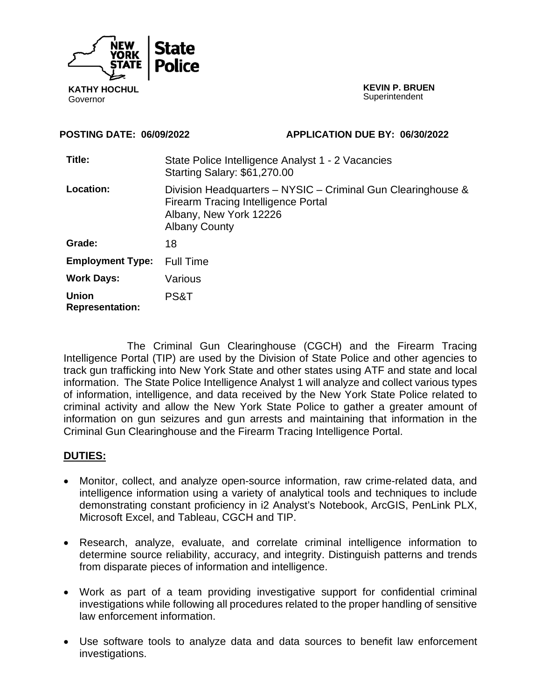

**KATHY HOCHUL**  Governor

**KEVIN P. BRUEN Superintendent** 

**POSTING DATE: 06/09/2022 APPLICATION DUE BY: 06/30/2022** 

| Title:                                 | State Police Intelligence Analyst 1 - 2 Vacancies<br>Starting Salary: \$61,270.00                                                                            |
|----------------------------------------|--------------------------------------------------------------------------------------------------------------------------------------------------------------|
| <b>Location:</b>                       | Division Headquarters - NYSIC - Criminal Gun Clearinghouse &<br><b>Firearm Tracing Intelligence Portal</b><br>Albany, New York 12226<br><b>Albany County</b> |
| Grade:                                 | 18                                                                                                                                                           |
| <b>Employment Type:</b>                | <b>Full Time</b>                                                                                                                                             |
| <b>Work Days:</b>                      | Various                                                                                                                                                      |
| <b>Union</b><br><b>Representation:</b> | PS&T                                                                                                                                                         |

The Criminal Gun Clearinghouse (CGCH) and the Firearm Tracing Intelligence Portal (TIP) are used by the Division of State Police and other agencies to track gun trafficking into New York State and other states using ATF and state and local information. The State Police Intelligence Analyst 1 will analyze and collect various types of information, intelligence, and data received by the New York State Police related to criminal activity and allow the New York State Police to gather a greater amount of information on gun seizures and gun arrests and maintaining that information in the Criminal Gun Clearinghouse and the Firearm Tracing Intelligence Portal.

# **DUTIES:**

- Monitor, collect, and analyze open-source information, raw crime-related data, and intelligence information using a variety of analytical tools and techniques to include demonstrating constant proficiency in i2 Analyst's Notebook, ArcGIS, PenLink PLX, Microsoft Excel, and Tableau, CGCH and TIP.
- Research, analyze, evaluate, and correlate criminal intelligence information to determine source reliability, accuracy, and integrity. Distinguish patterns and trends from disparate pieces of information and intelligence.
- Work as part of a team providing investigative support for confidential criminal investigations while following all procedures related to the proper handling of sensitive law enforcement information.
- Use software tools to analyze data and data sources to benefit law enforcement investigations.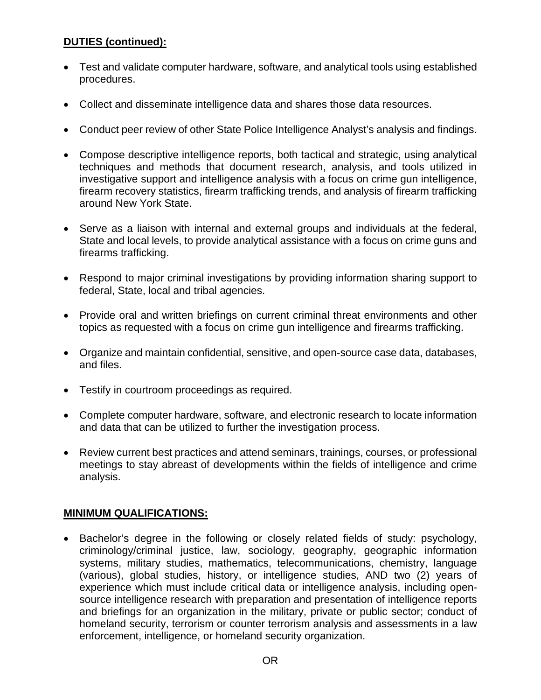# **DUTIES (continued):**

- Test and validate computer hardware, software, and analytical tools using established procedures.
- Collect and disseminate intelligence data and shares those data resources.
- Conduct peer review of other State Police Intelligence Analyst's analysis and findings.
- Compose descriptive intelligence reports, both tactical and strategic, using analytical techniques and methods that document research, analysis, and tools utilized in investigative support and intelligence analysis with a focus on crime gun intelligence, firearm recovery statistics, firearm trafficking trends, and analysis of firearm trafficking around New York State.
- Serve as a liaison with internal and external groups and individuals at the federal, State and local levels, to provide analytical assistance with a focus on crime guns and firearms trafficking.
- Respond to major criminal investigations by providing information sharing support to federal, State, local and tribal agencies.
- Provide oral and written briefings on current criminal threat environments and other topics as requested with a focus on crime gun intelligence and firearms trafficking.
- Organize and maintain confidential, sensitive, and open-source case data, databases, and files.
- Testify in courtroom proceedings as required.
- Complete computer hardware, software, and electronic research to locate information and data that can be utilized to further the investigation process.
- Review current best practices and attend seminars, trainings, courses, or professional meetings to stay abreast of developments within the fields of intelligence and crime analysis.

# **MINIMUM QUALIFICATIONS:**

 Bachelor's degree in the following or closely related fields of study: psychology, criminology/criminal justice, law, sociology, geography, geographic information systems, military studies, mathematics, telecommunications, chemistry, language (various), global studies, history, or intelligence studies, AND two (2) years of experience which must include critical data or intelligence analysis, including opensource intelligence research with preparation and presentation of intelligence reports and briefings for an organization in the military, private or public sector; conduct of homeland security, terrorism or counter terrorism analysis and assessments in a law enforcement, intelligence, or homeland security organization.